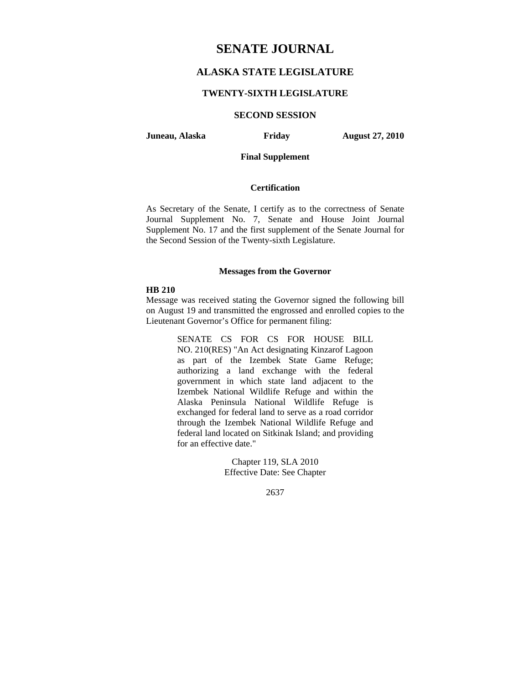# **SENATE JOURNAL**

# **ALASKA STATE LEGISLATURE**

# **TWENTY-SIXTH LEGISLATURE**

# **SECOND SESSION**

**Juneau, Alaska Friday August 27, 2010** 

# **Final Supplement**

# **Certification**

As Secretary of the Senate, I certify as to the correctness of Senate Journal Supplement No. 7, Senate and House Joint Journal Supplement No. 17 and the first supplement of the Senate Journal for the Second Session of the Twenty-sixth Legislature.

## **Messages from the Governor**

### **HB 210**

Message was received stating the Governor signed the following bill on August 19 and transmitted the engrossed and enrolled copies to the Lieutenant Governor's Office for permanent filing:

> SENATE CS FOR CS FOR HOUSE BILL NO. 210(RES) "An Act designating Kinzarof Lagoon as part of the Izembek State Game Refuge; authorizing a land exchange with the federal government in which state land adjacent to the Izembek National Wildlife Refuge and within the Alaska Peninsula National Wildlife Refuge is exchanged for federal land to serve as a road corridor through the Izembek National Wildlife Refuge and federal land located on Sitkinak Island; and providing for an effective date."

> > Chapter 119, SLA 2010 Effective Date: See Chapter

> > > 2637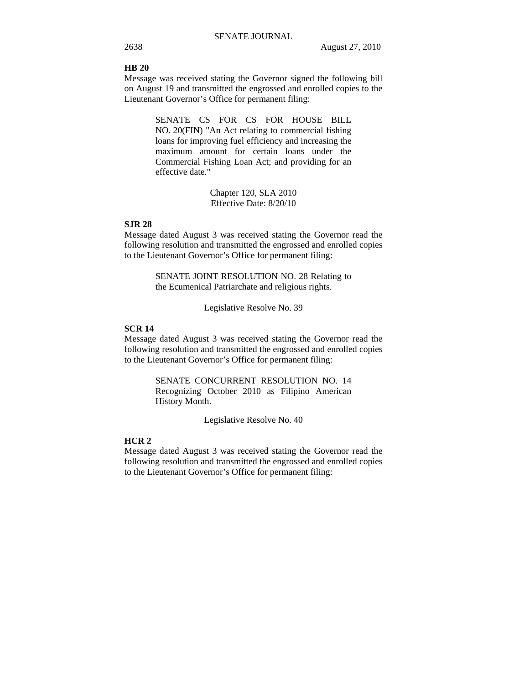### **HB 20**

Message was received stating the Governor signed the following bill on August 19 and transmitted the engrossed and enrolled copies to the Lieutenant Governor's Office for permanent filing:

> SENATE CS FOR CS FOR HOUSE BILL NO. 20(FIN) "An Act relating to commercial fishing loans for improving fuel efficiency and increasing the maximum amount for certain loans under the Commercial Fishing Loan Act; and providing for an effective date."

> > Chapter 120, SLA 2010 Effective Date: 8/20/10

# **SJR 28**

Message dated August 3 was received stating the Governor read the following resolution and transmitted the engrossed and enrolled copies to the Lieutenant Governor's Office for permanent filing:

> SENATE JOINT RESOLUTION NO. 28 Relating to the Ecumenical Patriarchate and religious rights.

> > Legislative Resolve No. 39

## **SCR 14**

Message dated August 3 was received stating the Governor read the following resolution and transmitted the engrossed and enrolled copies to the Lieutenant Governor's Office for permanent filing:

> SENATE CONCURRENT RESOLUTION NO. 14 Recognizing October 2010 as Filipino American History Month.

> > Legislative Resolve No. 40

### **HCR 2**

Message dated August 3 was received stating the Governor read the following resolution and transmitted the engrossed and enrolled copies to the Lieutenant Governor's Office for permanent filing: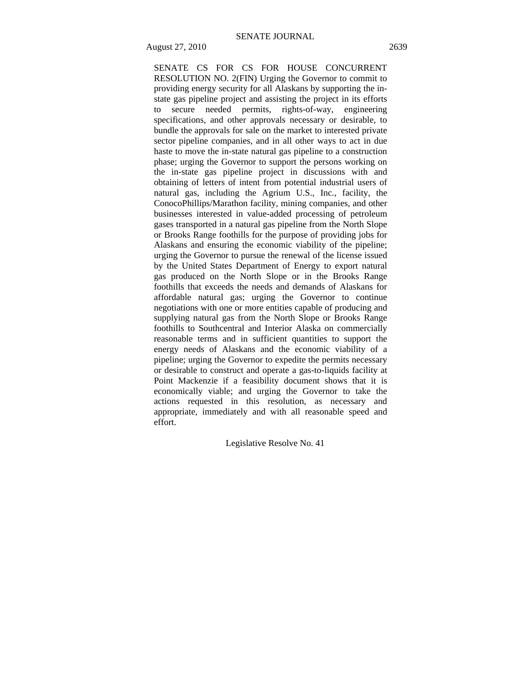SENATE CS FOR CS FOR HOUSE CONCURRENT RESOLUTION NO. 2(FIN) Urging the Governor to commit to providing energy security for all Alaskans by supporting the instate gas pipeline project and assisting the project in its efforts to secure needed permits, rights-of-way, engineering specifications, and other approvals necessary or desirable, to bundle the approvals for sale on the market to interested private sector pipeline companies, and in all other ways to act in due haste to move the in-state natural gas pipeline to a construction phase; urging the Governor to support the persons working on the in-state gas pipeline project in discussions with and obtaining of letters of intent from potential industrial users of natural gas, including the Agrium U.S., Inc., facility, the ConocoPhillips/Marathon facility, mining companies, and other businesses interested in value-added processing of petroleum gases transported in a natural gas pipeline from the North Slope or Brooks Range foothills for the purpose of providing jobs for Alaskans and ensuring the economic viability of the pipeline; urging the Governor to pursue the renewal of the license issued by the United States Department of Energy to export natural gas produced on the North Slope or in the Brooks Range foothills that exceeds the needs and demands of Alaskans for affordable natural gas; urging the Governor to continue negotiations with one or more entities capable of producing and supplying natural gas from the North Slope or Brooks Range foothills to Southcentral and Interior Alaska on commercially reasonable terms and in sufficient quantities to support the energy needs of Alaskans and the economic viability of a pipeline; urging the Governor to expedite the permits necessary or desirable to construct and operate a gas-to-liquids facility at Point Mackenzie if a feasibility document shows that it is economically viable; and urging the Governor to take the actions requested in this resolution, as necessary and appropriate, immediately and with all reasonable speed and effort.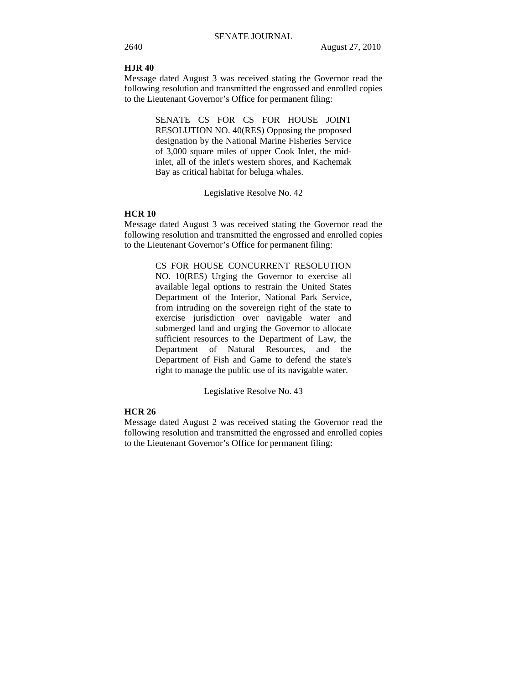### **HJR 40**

Message dated August 3 was received stating the Governor read the following resolution and transmitted the engrossed and enrolled copies to the Lieutenant Governor's Office for permanent filing:

> SENATE CS FOR CS FOR HOUSE JOINT RESOLUTION NO. 40(RES) Opposing the proposed designation by the National Marine Fisheries Service of 3,000 square miles of upper Cook Inlet, the midinlet, all of the inlet's western shores, and Kachemak Bay as critical habitat for beluga whales.

> > Legislative Resolve No. 42

### **HCR 10**

Message dated August 3 was received stating the Governor read the following resolution and transmitted the engrossed and enrolled copies to the Lieutenant Governor's Office for permanent filing:

CS FOR HOUSE CONCURRENT RESOLUTION

NO. 10(RES) Urging the Governor to exercise all available legal options to restrain the United States Department of the Interior, National Park Service, from intruding on the sovereign right of the state to exercise jurisdiction over navigable water and submerged land and urging the Governor to allocate sufficient resources to the Department of Law, the Department of Natural Resources, and the Department of Fish and Game to defend the state's right to manage the public use of its navigable water.

Legislative Resolve No. 43

# **HCR 26**

Message dated August 2 was received stating the Governor read the following resolution and transmitted the engrossed and enrolled copies to the Lieutenant Governor's Office for permanent filing: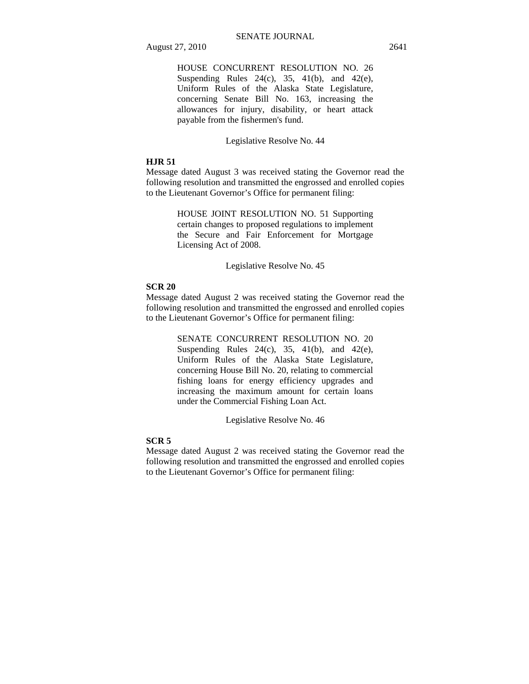HOUSE CONCURRENT RESOLUTION NO. 26 Suspending Rules  $24(c)$ ,  $35$ ,  $41(b)$ , and  $42(e)$ , Uniform Rules of the Alaska State Legislature, concerning Senate Bill No. 163, increasing the allowances for injury, disability, or heart attack payable from the fishermen's fund.

Legislative Resolve No. 44

### **HJR 51**

Message dated August 3 was received stating the Governor read the following resolution and transmitted the engrossed and enrolled copies to the Lieutenant Governor's Office for permanent filing:

> HOUSE JOINT RESOLUTION NO. 51 Supporting certain changes to proposed regulations to implement the Secure and Fair Enforcement for Mortgage Licensing Act of 2008.

> > Legislative Resolve No. 45

# **SCR 20**

Message dated August 2 was received stating the Governor read the following resolution and transmitted the engrossed and enrolled copies to the Lieutenant Governor's Office for permanent filing:

> SENATE CONCURRENT RESOLUTION NO. 20 Suspending Rules  $24(c)$ ,  $35$ ,  $41(b)$ , and  $42(e)$ , Uniform Rules of the Alaska State Legislature, concerning House Bill No. 20, relating to commercial fishing loans for energy efficiency upgrades and increasing the maximum amount for certain loans under the Commercial Fishing Loan Act.

> > Legislative Resolve No. 46

### **SCR 5**

Message dated August 2 was received stating the Governor read the following resolution and transmitted the engrossed and enrolled copies to the Lieutenant Governor's Office for permanent filing: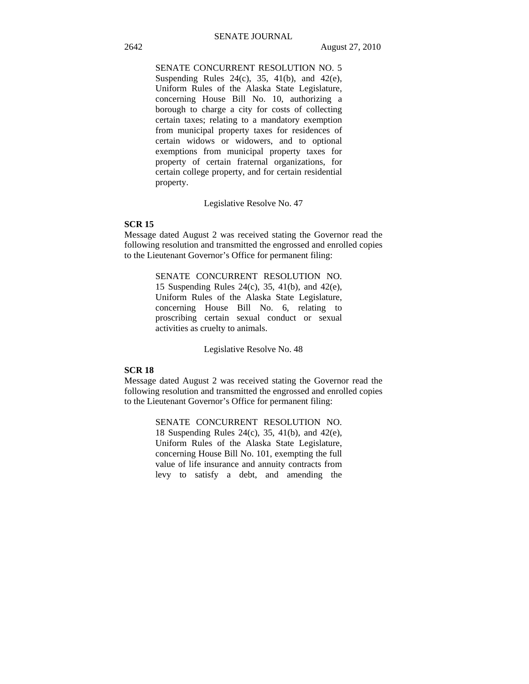# SENATE CONCURRENT RESOLUTION NO. 5 Suspending Rules 24(c), 35, 41(b), and 42(e), Uniform Rules of the Alaska State Legislature, concerning House Bill No. 10, authorizing a borough to charge a city for costs of collecting certain taxes; relating to a mandatory exemption from municipal property taxes for residences of certain widows or widowers, and to optional exemptions from municipal property taxes for property of certain fraternal organizations, for certain college property, and for certain residential property.

Legislative Resolve No. 47

# **SCR 15**

Message dated August 2 was received stating the Governor read the following resolution and transmitted the engrossed and enrolled copies to the Lieutenant Governor's Office for permanent filing:

> SENATE CONCURRENT RESOLUTION NO. 15 Suspending Rules 24(c), 35, 41(b), and 42(e), Uniform Rules of the Alaska State Legislature, concerning House Bill No. 6, relating to proscribing certain sexual conduct or sexual activities as cruelty to animals.

> > Legislative Resolve No. 48

# **SCR 18**

Message dated August 2 was received stating the Governor read the following resolution and transmitted the engrossed and enrolled copies to the Lieutenant Governor's Office for permanent filing:

> SENATE CONCURRENT RESOLUTION NO. 18 Suspending Rules 24(c), 35, 41(b), and 42(e), Uniform Rules of the Alaska State Legislature, concerning House Bill No. 101, exempting the full value of life insurance and annuity contracts from levy to satisfy a debt, and amending the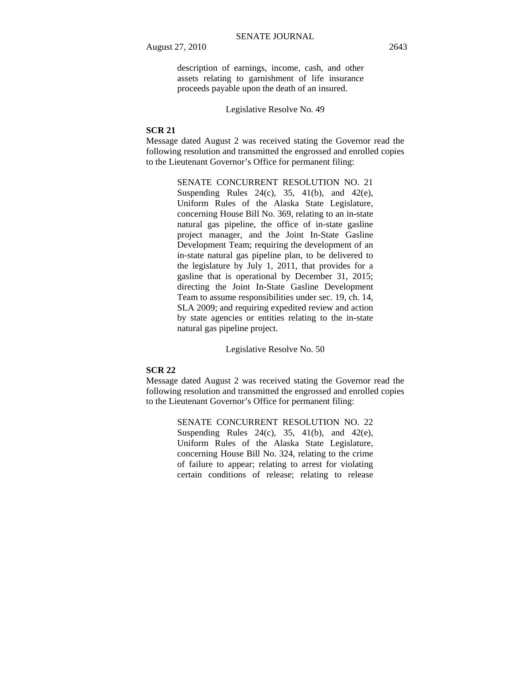description of earnings, income, cash, and other assets relating to garnishment of life insurance proceeds payable upon the death of an insured.

Legislative Resolve No. 49

# **SCR 21**

Message dated August 2 was received stating the Governor read the following resolution and transmitted the engrossed and enrolled copies to the Lieutenant Governor's Office for permanent filing:

> SENATE CONCURRENT RESOLUTION NO. 21 Suspending Rules  $24(c)$ ,  $35$ ,  $41(b)$ , and  $42(e)$ , Uniform Rules of the Alaska State Legislature, concerning House Bill No. 369, relating to an in-state natural gas pipeline, the office of in-state gasline project manager, and the Joint In-State Gasline Development Team; requiring the development of an in-state natural gas pipeline plan, to be delivered to the legislature by July 1, 2011, that provides for a gasline that is operational by December 31, 2015; directing the Joint In-State Gasline Development Team to assume responsibilities under sec. 19, ch. 14, SLA 2009; and requiring expedited review and action by state agencies or entities relating to the in-state natural gas pipeline project.

> > Legislative Resolve No. 50

# **SCR 22**

Message dated August 2 was received stating the Governor read the following resolution and transmitted the engrossed and enrolled copies to the Lieutenant Governor's Office for permanent filing:

> SENATE CONCURRENT RESOLUTION NO. 22 Suspending Rules  $24(c)$ ,  $35$ ,  $41(b)$ , and  $42(e)$ , Uniform Rules of the Alaska State Legislature, concerning House Bill No. 324, relating to the crime of failure to appear; relating to arrest for violating certain conditions of release; relating to release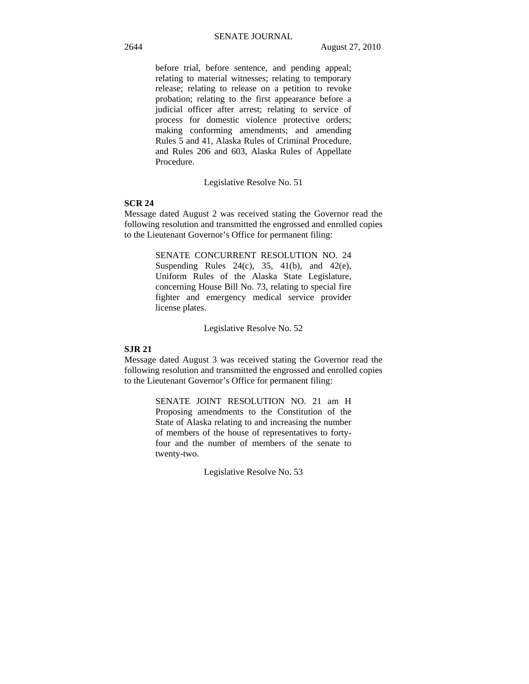before trial, before sentence, and pending appeal; relating to material witnesses; relating to temporary release; relating to release on a petition to revoke probation; relating to the first appearance before a judicial officer after arrest; relating to service of process for domestic violence protective orders; making conforming amendments; and amending Rules 5 and 41, Alaska Rules of Criminal Procedure, and Rules 206 and 603, Alaska Rules of Appellate Procedure.

Legislative Resolve No. 51

## **SCR 24**

Message dated August 2 was received stating the Governor read the following resolution and transmitted the engrossed and enrolled copies to the Lieutenant Governor's Office for permanent filing:

> SENATE CONCURRENT RESOLUTION NO. 24 Suspending Rules  $24(c)$ ,  $35$ ,  $41(b)$ , and  $42(e)$ , Uniform Rules of the Alaska State Legislature, concerning House Bill No. 73, relating to special fire fighter and emergency medical service provider license plates.

> > Legislative Resolve No. 52

### **SJR 21**

Message dated August 3 was received stating the Governor read the following resolution and transmitted the engrossed and enrolled copies to the Lieutenant Governor's Office for permanent filing:

> SENATE JOINT RESOLUTION NO. 21 am H Proposing amendments to the Constitution of the State of Alaska relating to and increasing the number of members of the house of representatives to fortyfour and the number of members of the senate to twenty-two.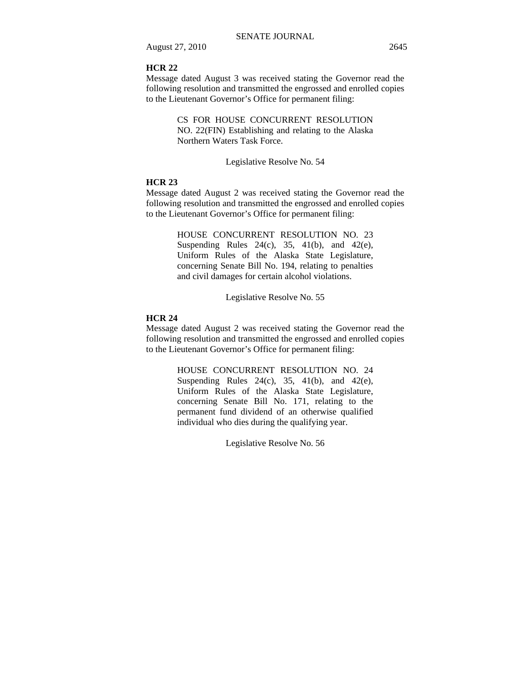## **HCR 22**

Message dated August 3 was received stating the Governor read the following resolution and transmitted the engrossed and enrolled copies to the Lieutenant Governor's Office for permanent filing:

> CS FOR HOUSE CONCURRENT RESOLUTION NO. 22(FIN) Establishing and relating to the Alaska Northern Waters Task Force.

### Legislative Resolve No. 54

### **HCR 23**

Message dated August 2 was received stating the Governor read the following resolution and transmitted the engrossed and enrolled copies to the Lieutenant Governor's Office for permanent filing:

> HOUSE CONCURRENT RESOLUTION NO. 23 Suspending Rules 24(c), 35, 41(b), and 42(e), Uniform Rules of the Alaska State Legislature, concerning Senate Bill No. 194, relating to penalties and civil damages for certain alcohol violations.

> > Legislative Resolve No. 55

# **HCR 24**

Message dated August 2 was received stating the Governor read the following resolution and transmitted the engrossed and enrolled copies to the Lieutenant Governor's Office for permanent filing:

> HOUSE CONCURRENT RESOLUTION NO. 24 Suspending Rules  $24(c)$ ,  $35$ ,  $41(b)$ , and  $42(e)$ , Uniform Rules of the Alaska State Legislature, concerning Senate Bill No. 171, relating to the permanent fund dividend of an otherwise qualified individual who dies during the qualifying year.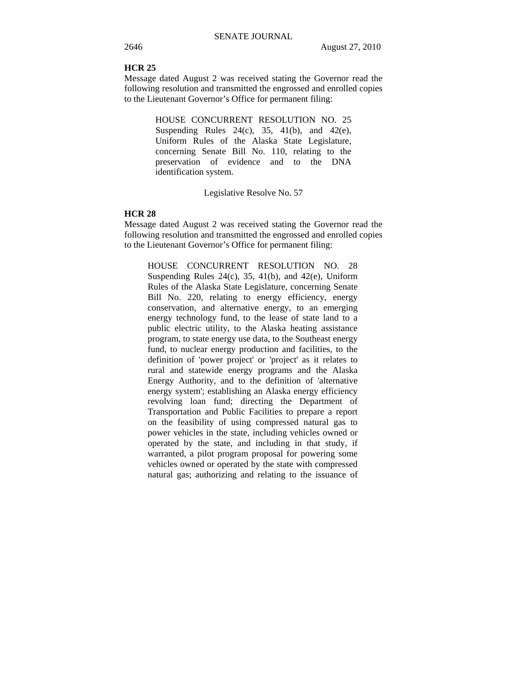# **HCR 25**

Message dated August 2 was received stating the Governor read the following resolution and transmitted the engrossed and enrolled copies to the Lieutenant Governor's Office for permanent filing:

> HOUSE CONCURRENT RESOLUTION NO. 25 Suspending Rules  $24(c)$ ,  $35$ ,  $41(b)$ , and  $42(e)$ , Uniform Rules of the Alaska State Legislature, concerning Senate Bill No. 110, relating to the preservation of evidence and to the DNA identification system.

> > Legislative Resolve No. 57

### **HCR 28**

Message dated August 2 was received stating the Governor read the following resolution and transmitted the engrossed and enrolled copies to the Lieutenant Governor's Office for permanent filing:

HOUSE CONCURRENT RESOLUTION NO. 28 Suspending Rules  $24(c)$ ,  $35$ ,  $41(b)$ , and  $42(e)$ , Uniform Rules of the Alaska State Legislature, concerning Senate Bill No. 220, relating to energy efficiency, energy conservation, and alternative energy, to an emerging energy technology fund, to the lease of state land to a public electric utility, to the Alaska heating assistance program, to state energy use data, to the Southeast energy fund, to nuclear energy production and facilities, to the definition of 'power project' or 'project' as it relates to rural and statewide energy programs and the Alaska Energy Authority, and to the definition of 'alternative energy system'; establishing an Alaska energy efficiency revolving loan fund; directing the Department of Transportation and Public Facilities to prepare a report on the feasibility of using compressed natural gas to power vehicles in the state, including vehicles owned or operated by the state, and including in that study, if warranted, a pilot program proposal for powering some vehicles owned or operated by the state with compressed natural gas; authorizing and relating to the issuance of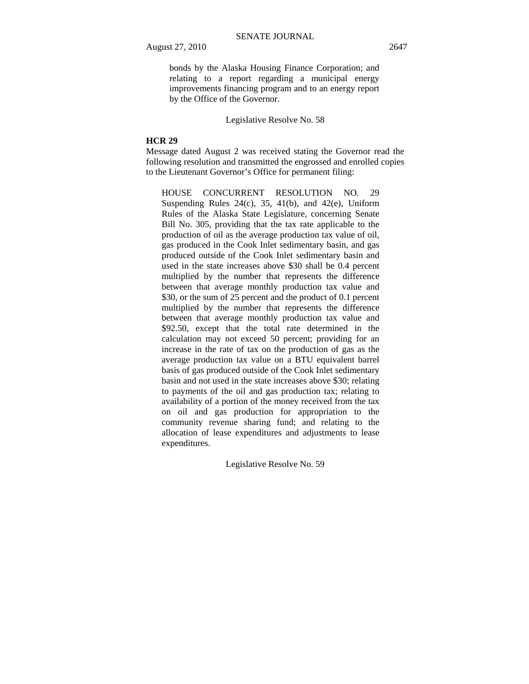bonds by the Alaska Housing Finance Corporation; and

relating to a report regarding a municipal energy improvements financing program and to an energy report by the Office of the Governor.

Legislative Resolve No. 58

### **HCR 29**

Message dated August 2 was received stating the Governor read the following resolution and transmitted the engrossed and enrolled copies to the Lieutenant Governor's Office for permanent filing:

HOUSE CONCURRENT RESOLUTION NO. 29 Suspending Rules  $24(c)$ ,  $35$ ,  $41(b)$ , and  $42(e)$ , Uniform Rules of the Alaska State Legislature, concerning Senate Bill No. 305, providing that the tax rate applicable to the production of oil as the average production tax value of oil, gas produced in the Cook Inlet sedimentary basin, and gas produced outside of the Cook Inlet sedimentary basin and used in the state increases above \$30 shall be 0.4 percent multiplied by the number that represents the difference between that average monthly production tax value and \$30, or the sum of 25 percent and the product of 0.1 percent multiplied by the number that represents the difference between that average monthly production tax value and \$92.50, except that the total rate determined in the calculation may not exceed 50 percent; providing for an increase in the rate of tax on the production of gas as the average production tax value on a BTU equivalent barrel basis of gas produced outside of the Cook Inlet sedimentary basin and not used in the state increases above \$30; relating to payments of the oil and gas production tax; relating to availability of a portion of the money received from the tax on oil and gas production for appropriation to the community revenue sharing fund; and relating to the allocation of lease expenditures and adjustments to lease expenditures.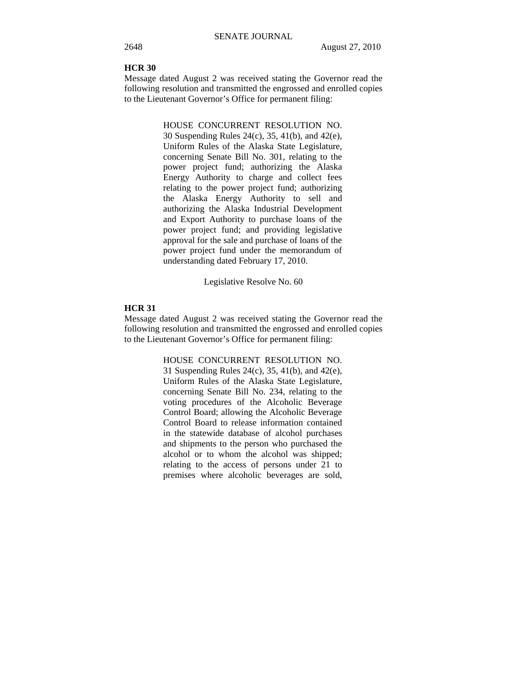# **HCR 30**

Message dated August 2 was received stating the Governor read the following resolution and transmitted the engrossed and enrolled copies to the Lieutenant Governor's Office for permanent filing:

> HOUSE CONCURRENT RESOLUTION NO. 30 Suspending Rules 24(c), 35, 41(b), and 42(e), Uniform Rules of the Alaska State Legislature, concerning Senate Bill No. 301, relating to the power project fund; authorizing the Alaska Energy Authority to charge and collect fees relating to the power project fund; authorizing the Alaska Energy Authority to sell and authorizing the Alaska Industrial Development and Export Authority to purchase loans of the power project fund; and providing legislative approval for the sale and purchase of loans of the power project fund under the memorandum of understanding dated February 17, 2010.

> > Legislative Resolve No. 60

## **HCR 31**

Message dated August 2 was received stating the Governor read the following resolution and transmitted the engrossed and enrolled copies to the Lieutenant Governor's Office for permanent filing:

> HOUSE CONCURRENT RESOLUTION NO. 31 Suspending Rules 24(c), 35, 41(b), and 42(e), Uniform Rules of the Alaska State Legislature, concerning Senate Bill No. 234, relating to the voting procedures of the Alcoholic Beverage Control Board; allowing the Alcoholic Beverage Control Board to release information contained in the statewide database of alcohol purchases and shipments to the person who purchased the alcohol or to whom the alcohol was shipped; relating to the access of persons under 21 to premises where alcoholic beverages are sold,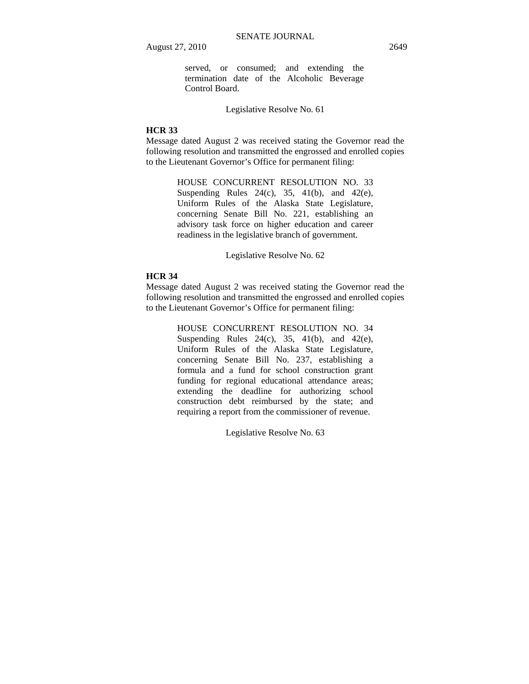served, or consumed; and extending the termination date of the Alcoholic Beverage Control Board.

Legislative Resolve No. 61

# **HCR 33**

Message dated August 2 was received stating the Governor read the following resolution and transmitted the engrossed and enrolled copies to the Lieutenant Governor's Office for permanent filing:

> HOUSE CONCURRENT RESOLUTION NO. 33 Suspending Rules  $24(c)$ ,  $35$ ,  $41(b)$ , and  $42(e)$ , Uniform Rules of the Alaska State Legislature, concerning Senate Bill No. 221, establishing an advisory task force on higher education and career readiness in the legislative branch of government.

> > Legislative Resolve No. 62

### **HCR 34**

Message dated August 2 was received stating the Governor read the following resolution and transmitted the engrossed and enrolled copies to the Lieutenant Governor's Office for permanent filing:

> HOUSE CONCURRENT RESOLUTION NO. 34 Suspending Rules  $24(c)$ ,  $35$ ,  $41(b)$ , and  $42(e)$ , Uniform Rules of the Alaska State Legislature, concerning Senate Bill No. 237, establishing a formula and a fund for school construction grant funding for regional educational attendance areas; extending the deadline for authorizing school construction debt reimbursed by the state; and requiring a report from the commissioner of revenue.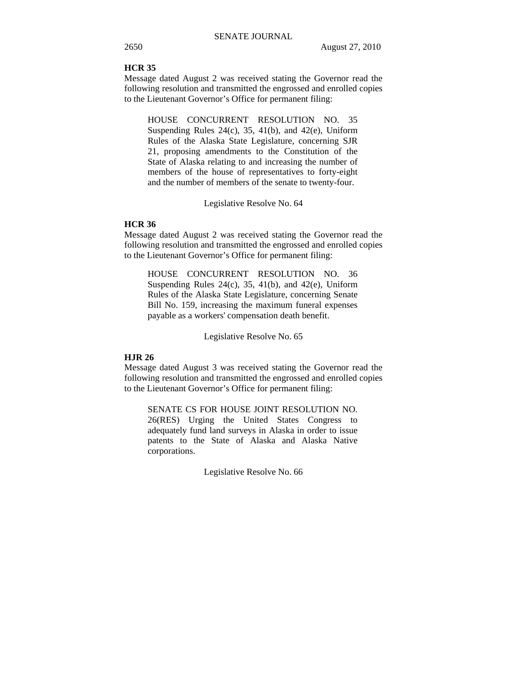### **HCR 35**

Message dated August 2 was received stating the Governor read the following resolution and transmitted the engrossed and enrolled copies to the Lieutenant Governor's Office for permanent filing:

HOUSE CONCURRENT RESOLUTION NO. 35 Suspending Rules 24(c), 35, 41(b), and 42(e), Uniform Rules of the Alaska State Legislature, concerning SJR 21, proposing amendments to the Constitution of the State of Alaska relating to and increasing the number of members of the house of representatives to forty-eight and the number of members of the senate to twenty-four.

### Legislative Resolve No. 64

# **HCR 36**

Message dated August 2 was received stating the Governor read the following resolution and transmitted the engrossed and enrolled copies to the Lieutenant Governor's Office for permanent filing:

HOUSE CONCURRENT RESOLUTION NO. 36 Suspending Rules  $24(c)$ ,  $35$ ,  $41(b)$ , and  $42(e)$ , Uniform Rules of the Alaska State Legislature, concerning Senate Bill No. 159, increasing the maximum funeral expenses payable as a workers' compensation death benefit.

Legislative Resolve No. 65

# **HJR 26**

Message dated August 3 was received stating the Governor read the following resolution and transmitted the engrossed and enrolled copies to the Lieutenant Governor's Office for permanent filing:

SENATE CS FOR HOUSE JOINT RESOLUTION NO. 26(RES) Urging the United States Congress to adequately fund land surveys in Alaska in order to issue patents to the State of Alaska and Alaska Native corporations.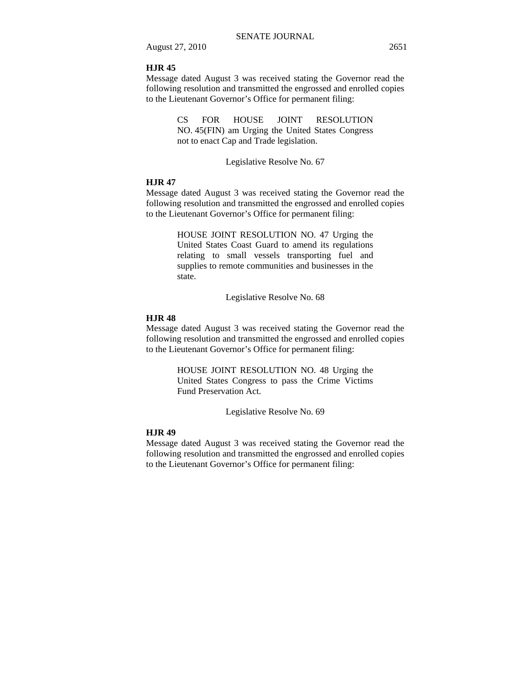## **HJR 45**

Message dated August 3 was received stating the Governor read the following resolution and transmitted the engrossed and enrolled copies to the Lieutenant Governor's Office for permanent filing:

> CS FOR HOUSE JOINT RESOLUTION NO. 45(FIN) am Urging the United States Congress not to enact Cap and Trade legislation.

> > Legislative Resolve No. 67

### **HJR 47**

Message dated August 3 was received stating the Governor read the following resolution and transmitted the engrossed and enrolled copies to the Lieutenant Governor's Office for permanent filing:

> HOUSE JOINT RESOLUTION NO. 47 Urging the United States Coast Guard to amend its regulations relating to small vessels transporting fuel and supplies to remote communities and businesses in the state.

> > Legislative Resolve No. 68

## **HJR 48**

Message dated August 3 was received stating the Governor read the following resolution and transmitted the engrossed and enrolled copies to the Lieutenant Governor's Office for permanent filing:

> HOUSE JOINT RESOLUTION NO. 48 Urging the United States Congress to pass the Crime Victims Fund Preservation Act.

> > Legislative Resolve No. 69

### **HJR 49**

Message dated August 3 was received stating the Governor read the following resolution and transmitted the engrossed and enrolled copies to the Lieutenant Governor's Office for permanent filing: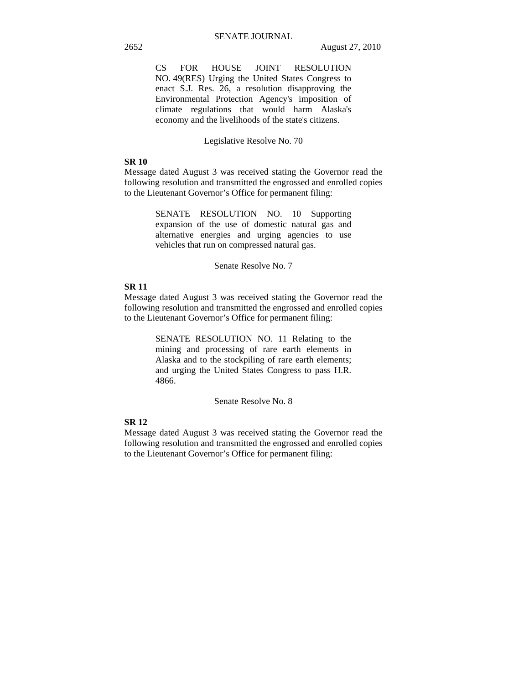CS FOR HOUSE JOINT RESOLUTION NO. 49(RES) Urging the United States Congress to enact S.J. Res. 26, a resolution disapproving the Environmental Protection Agency's imposition of climate regulations that would harm Alaska's economy and the livelihoods of the state's citizens.

### Legislative Resolve No. 70

# **SR 10**

Message dated August 3 was received stating the Governor read the following resolution and transmitted the engrossed and enrolled copies to the Lieutenant Governor's Office for permanent filing:

> SENATE RESOLUTION NO. 10 Supporting expansion of the use of domestic natural gas and alternative energies and urging agencies to use vehicles that run on compressed natural gas.

> > Senate Resolve No. 7

### **SR 11**

Message dated August 3 was received stating the Governor read the following resolution and transmitted the engrossed and enrolled copies to the Lieutenant Governor's Office for permanent filing:

> SENATE RESOLUTION NO. 11 Relating to the mining and processing of rare earth elements in Alaska and to the stockpiling of rare earth elements; and urging the United States Congress to pass H.R. 4866.

> > Senate Resolve No. 8

# **SR 12**

Message dated August 3 was received stating the Governor read the following resolution and transmitted the engrossed and enrolled copies to the Lieutenant Governor's Office for permanent filing: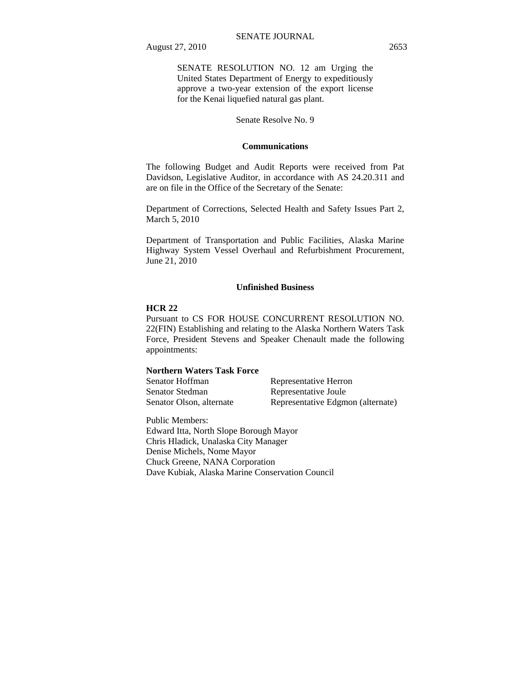SENATE RESOLUTION NO. 12 am Urging the United States Department of Energy to expeditiously approve a two-year extension of the export license for the Kenai liquefied natural gas plant.

Senate Resolve No. 9

### **Communications**

The following Budget and Audit Reports were received from Pat Davidson, Legislative Auditor, in accordance with AS 24.20.311 and are on file in the Office of the Secretary of the Senate:

Department of Corrections, Selected Health and Safety Issues Part 2, March 5, 2010

Department of Transportation and Public Facilities, Alaska Marine Highway System Vessel Overhaul and Refurbishment Procurement, June 21, 2010

### **Unfinished Business**

### **HCR 22**

Pursuant to CS FOR HOUSE CONCURRENT RESOLUTION NO. 22(FIN) Establishing and relating to the Alaska Northern Waters Task Force, President Stevens and Speaker Chenault made the following appointments:

# **Northern Waters Task Force**

| Senator Hoffman          | Representative Herron             |
|--------------------------|-----------------------------------|
| Senator Stedman          | Representative Joule              |
| Senator Olson, alternate | Representative Edgmon (alternate) |

Public Members: Edward Itta, North Slope Borough Mayor Chris Hladick, Unalaska City Manager Denise Michels, Nome Mayor Chuck Greene, NANA Corporation Dave Kubiak, Alaska Marine Conservation Council